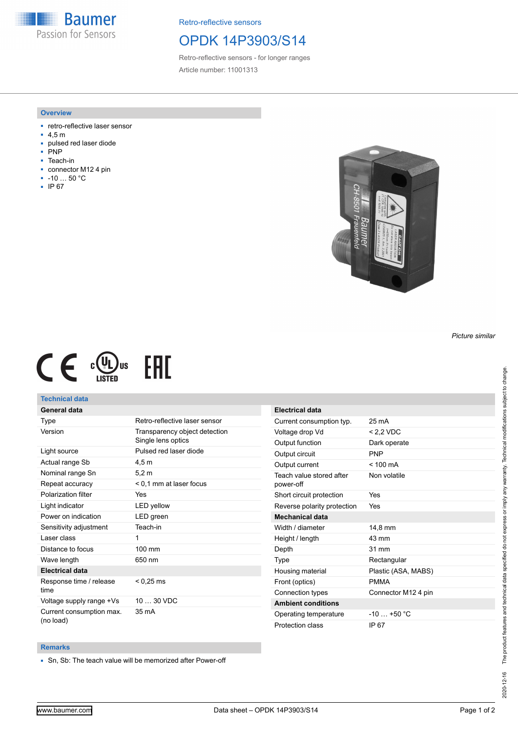**Baumer** Passion for Sensors

Retro-reflective sensors

## OPDK 14P3903/S14

Retro-reflective sensors - for longer ranges Article number: 11001313

### **Overview**

- retro-reflective laser sensor
- 4,5 m
- pulsed red laser diode
- P<sub>NP</sub>
- Teach-in
- connector M12 4 pin
- -10 … 50 °C
- IP 67



 $C \in \mathbb{C}^{(U_L)_{\text{US}}}$ **EAC** 

### **Technical data**

### **General data**

| Type                                  | Retro-reflective laser sensor                       |
|---------------------------------------|-----------------------------------------------------|
| Version                               | Transparency object detection<br>Single lens optics |
| Light source                          | Pulsed red laser diode                              |
| Actual range Sb                       | 4,5 m                                               |
| Nominal range Sn                      | 5.2 m                                               |
| Repeat accuracy                       | < 0.1 mm at laser focus                             |
| Polarization filter                   | Yes                                                 |
| Light indicator                       | <b>LED</b> yellow                                   |
| Power on indication                   | LED green                                           |
| Sensitivity adjustment                | Teach-in                                            |
| Laser class                           | 1                                                   |
| Distance to focus                     | 100 mm                                              |
| Wave length                           | 650 nm                                              |
| <b>Electrical data</b>                |                                                     |
| Response time / release<br>time       | $< 0.25 \text{ ms}$                                 |
| Voltage supply range +Vs              | 10  30 VDC                                          |
| Current consumption max.<br>(no load) | 35 mA                                               |

| <b>Electrical data</b>                |                     |
|---------------------------------------|---------------------|
| Current consumption typ.              | 25 mA               |
| Voltage drop Vd                       | $< 2.2$ VDC         |
| Output function                       | Dark operate        |
| Output circuit                        | <b>PNP</b>          |
| Output current                        | $< 100 \text{ mA}$  |
| Teach value stored after<br>power-off | Non volatile        |
| Short circuit protection              | Yes                 |
| Reverse polarity protection           | Yes                 |
| Mechanical data                       |                     |
| Width / diameter                      | 14.8 mm             |
| Height / length                       | 43 mm               |
| Depth                                 | 31 mm               |
| Type                                  | Rectangular         |
| Housing material                      | Plastic (ASA, MABS) |
| Front (optics)                        | <b>PMMA</b>         |
| Connection types                      | Connector M12 4 pin |
| <b>Ambient conditions</b>             |                     |
| Operating temperature                 | $-10$ $+50$ °C      |
| Protection class                      | IP 67               |

### **Remarks**

■ Sn, Sb: The teach value will be memorized after Power-off

*Picture similar*